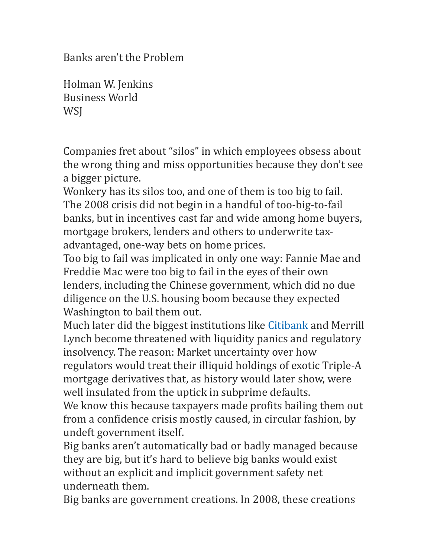Banks aren't the Problem

Holman W. Jenkins Business World **WSI** 

Companies fret about "silos" in which employees obsess about the wrong thing and miss opportunities because they don't see a bigger picture.

Wonkery has its silos too, and one of them is too big to fail. The 2008 crisis did not begin in a handful of too-big-to-fail banks, but in incentives cast far and wide among home buyers, mortgage brokers, lenders and others to underwrite taxadvantaged, one-way bets on home prices.

Too big to fail was implicated in only one way: Fannie Mae and Freddie Mac were too big to fail in the eyes of their own lenders, including the Chinese government, which did no due diligence on the U.S. housing boom because they expected Washington to bail them out.

Much later did the biggest institutions like [Citibank](http://quotes.wsj.com/C) and Merrill Lynch become threatened with liquidity panics and regulatory insolvency. The reason: Market uncertainty over how regulators would treat their illiquid holdings of exotic Triple-A mortgage derivatives that, as history would later show, were well insulated from the uptick in subprime defaults.

We know this because taxpayers made profits bailing them out from a confidence crisis mostly caused, in circular fashion, by undeft government itself.

Big banks aren't automatically bad or badly managed because they are big, but it's hard to believe big banks would exist without an explicit and implicit government safety net underneath them. 

Big banks are government creations. In 2008, these creations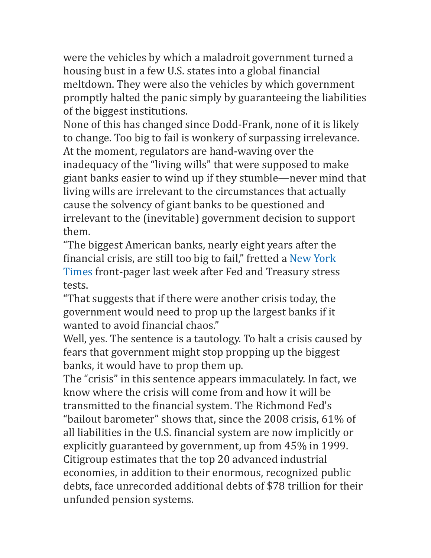were the vehicles by which a maladroit government turned a housing bust in a few U.S. states into a global financial meltdown. They were also the vehicles by which government promptly halted the panic simply by guaranteeing the liabilities of the biggest institutions.

None of this has changed since Dodd-Frank, none of it is likely to change. Too big to fail is wonkery of surpassing irrelevance. At the moment, regulators are hand-waving over the inadequacy of the "living wills" that were supposed to make giant banks easier to wind up if they stumble—never mind that living wills are irrelevant to the circumstances that actually cause the solvency of giant banks to be questioned and irrelevant to the (inevitable) government decision to support them. 

"The biggest American banks, nearly eight years after the financial crisis, are still too big to fail," fretted a New York Times front-pager last week after Fed and Treasury stress tests. 

"That suggests that if there were another crisis today, the government would need to prop up the largest banks if it wanted to avoid financial chaos."

Well, yes. The sentence is a tautology. To halt a crisis caused by fears that government might stop propping up the biggest banks, it would have to prop them up.

The "crisis" in this sentence appears immaculately. In fact, we know where the crisis will come from and how it will be transmitted to the financial system. The Richmond Fed's "bailout barometer" shows that, since the  $2008$  crisis,  $61\%$  of all liabilities in the U.S. financial system are now implicitly or explicitly guaranteed by government, up from 45% in 1999. Citigroup estimates that the top 20 advanced industrial economies, in addition to their enormous, recognized public debts, face unrecorded additional debts of \$78 trillion for their unfunded pension systems.